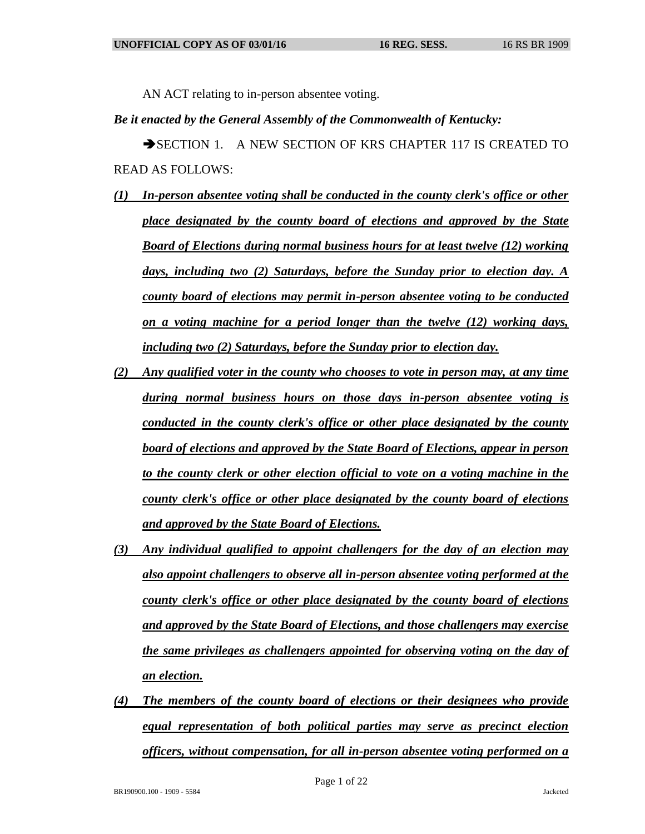AN ACT relating to in-person absentee voting.

## *Be it enacted by the General Assembly of the Commonwealth of Kentucky:*

SECTION 1. A NEW SECTION OF KRS CHAPTER 117 IS CREATED TO READ AS FOLLOWS:

- *(1) In-person absentee voting shall be conducted in the county clerk's office or other place designated by the county board of elections and approved by the State Board of Elections during normal business hours for at least twelve (12) working days, including two (2) Saturdays, before the Sunday prior to election day. A county board of elections may permit in-person absentee voting to be conducted on a voting machine for a period longer than the twelve (12) working days, including two (2) Saturdays, before the Sunday prior to election day.*
- *(2) Any qualified voter in the county who chooses to vote in person may, at any time during normal business hours on those days in-person absentee voting is conducted in the county clerk's office or other place designated by the county board of elections and approved by the State Board of Elections, appear in person to the county clerk or other election official to vote on a voting machine in the county clerk's office or other place designated by the county board of elections and approved by the State Board of Elections.*
- *(3) Any individual qualified to appoint challengers for the day of an election may also appoint challengers to observe all in-person absentee voting performed at the county clerk's office or other place designated by the county board of elections and approved by the State Board of Elections, and those challengers may exercise the same privileges as challengers appointed for observing voting on the day of an election.*
- *(4) The members of the county board of elections or their designees who provide equal representation of both political parties may serve as precinct election officers, without compensation, for all in-person absentee voting performed on a*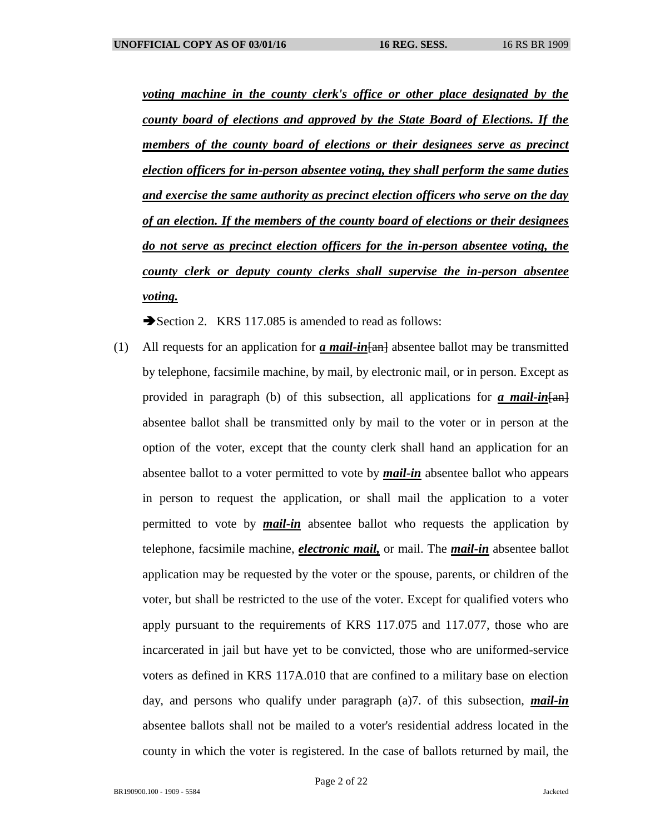*voting machine in the county clerk's office or other place designated by the county board of elections and approved by the State Board of Elections. If the members of the county board of elections or their designees serve as precinct election officers for in-person absentee voting, they shall perform the same duties and exercise the same authority as precinct election officers who serve on the day of an election. If the members of the county board of elections or their designees do not serve as precinct election officers for the in-person absentee voting, the county clerk or deputy county clerks shall supervise the in-person absentee voting.*

Section 2. KRS 117.085 is amended to read as follows:

(1) All requests for an application for *a mail-in*[an] absentee ballot may be transmitted by telephone, facsimile machine, by mail, by electronic mail, or in person. Except as provided in paragraph (b) of this subsection, all applications for  $\alpha$  mail-in  $\{\pm m\}$ absentee ballot shall be transmitted only by mail to the voter or in person at the option of the voter, except that the county clerk shall hand an application for an absentee ballot to a voter permitted to vote by *mail-in* absentee ballot who appears in person to request the application, or shall mail the application to a voter permitted to vote by *mail-in* absentee ballot who requests the application by telephone, facsimile machine, *electronic mail,* or mail. The *mail-in* absentee ballot application may be requested by the voter or the spouse, parents, or children of the voter, but shall be restricted to the use of the voter. Except for qualified voters who apply pursuant to the requirements of KRS 117.075 and 117.077, those who are incarcerated in jail but have yet to be convicted, those who are uniformed-service voters as defined in KRS 117A.010 that are confined to a military base on election day, and persons who qualify under paragraph (a)7. of this subsection, *mail-in* absentee ballots shall not be mailed to a voter's residential address located in the county in which the voter is registered. In the case of ballots returned by mail, the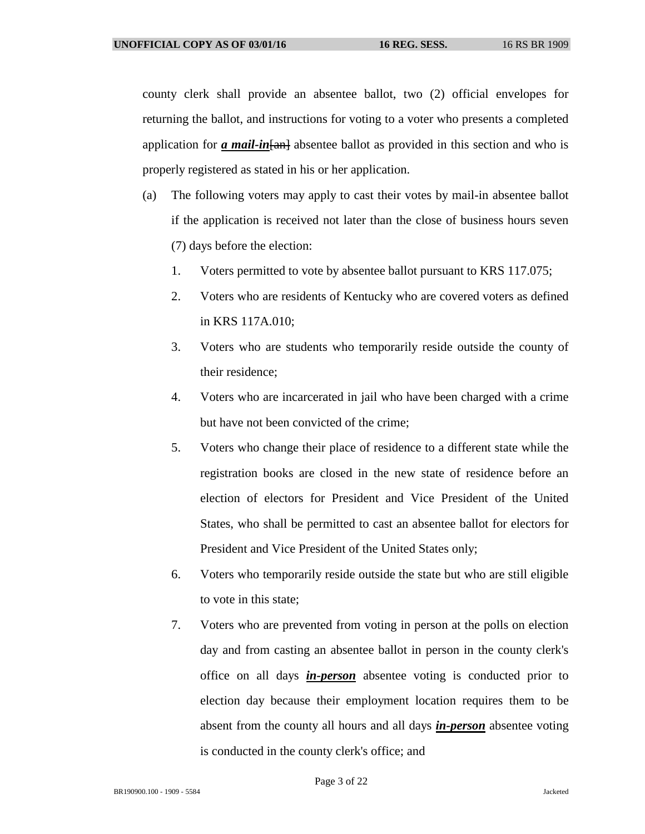county clerk shall provide an absentee ballot, two (2) official envelopes for returning the ballot, and instructions for voting to a voter who presents a completed application for *a mail-in*[an] absentee ballot as provided in this section and who is properly registered as stated in his or her application.

- (a) The following voters may apply to cast their votes by mail-in absentee ballot if the application is received not later than the close of business hours seven (7) days before the election:
	- 1. Voters permitted to vote by absentee ballot pursuant to KRS 117.075;
	- 2. Voters who are residents of Kentucky who are covered voters as defined in KRS 117A.010;
	- 3. Voters who are students who temporarily reside outside the county of their residence;
	- 4. Voters who are incarcerated in jail who have been charged with a crime but have not been convicted of the crime;
	- 5. Voters who change their place of residence to a different state while the registration books are closed in the new state of residence before an election of electors for President and Vice President of the United States, who shall be permitted to cast an absentee ballot for electors for President and Vice President of the United States only;
	- 6. Voters who temporarily reside outside the state but who are still eligible to vote in this state;
	- 7. Voters who are prevented from voting in person at the polls on election day and from casting an absentee ballot in person in the county clerk's office on all days *in-person* absentee voting is conducted prior to election day because their employment location requires them to be absent from the county all hours and all days *in-person* absentee voting is conducted in the county clerk's office; and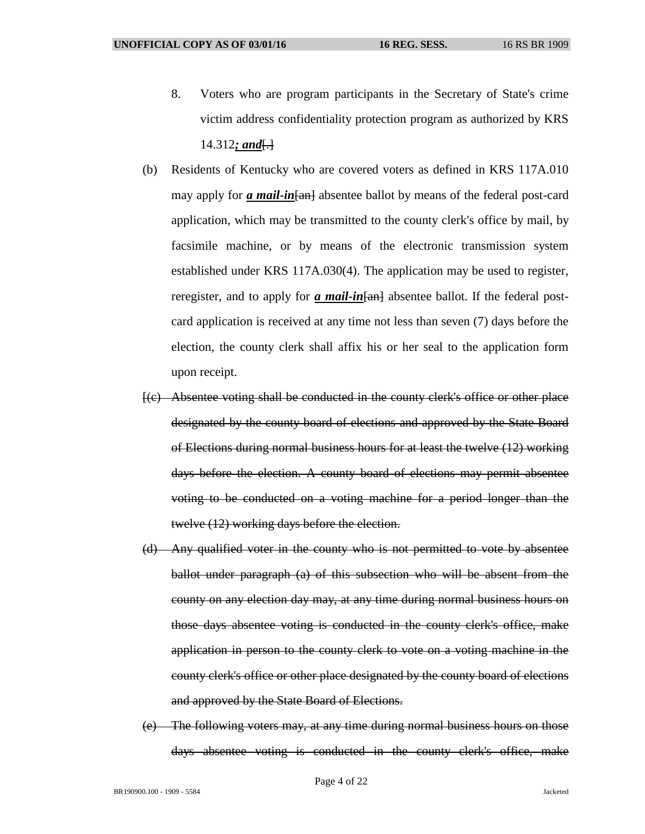- 8. Voters who are program participants in the Secretary of State's crime victim address confidentiality protection program as authorized by KRS 14.312*; and*[.]
- (b) Residents of Kentucky who are covered voters as defined in KRS 117A.010 may apply for *a mail-in* [and absentee ballot by means of the federal post-card application, which may be transmitted to the county clerk's office by mail, by facsimile machine, or by means of the electronic transmission system established under KRS 117A.030(4). The application may be used to register, reregister, and to apply for *a mail-in* [an] absentee ballot. If the federal postcard application is received at any time not less than seven (7) days before the election, the county clerk shall affix his or her seal to the application form upon receipt.
- [(c) Absentee voting shall be conducted in the county clerk's office or other place designated by the county board of elections and approved by the State Board of Elections during normal business hours for at least the twelve (12) working days before the election. A county board of elections may permit absentee voting to be conducted on a voting machine for a period longer than the twelve (12) working days before the election.
- (d) Any qualified voter in the county who is not permitted to vote by absentee ballot under paragraph (a) of this subsection who will be absent from the county on any election day may, at any time during normal business hours on those days absentee voting is conducted in the county clerk's office, make application in person to the county clerk to vote on a voting machine in the county clerk's office or other place designated by the county board of elections and approved by the State Board of Elections.
- (e) The following voters may, at any time during normal business hours on those days absentee voting is conducted in the county clerk's office, make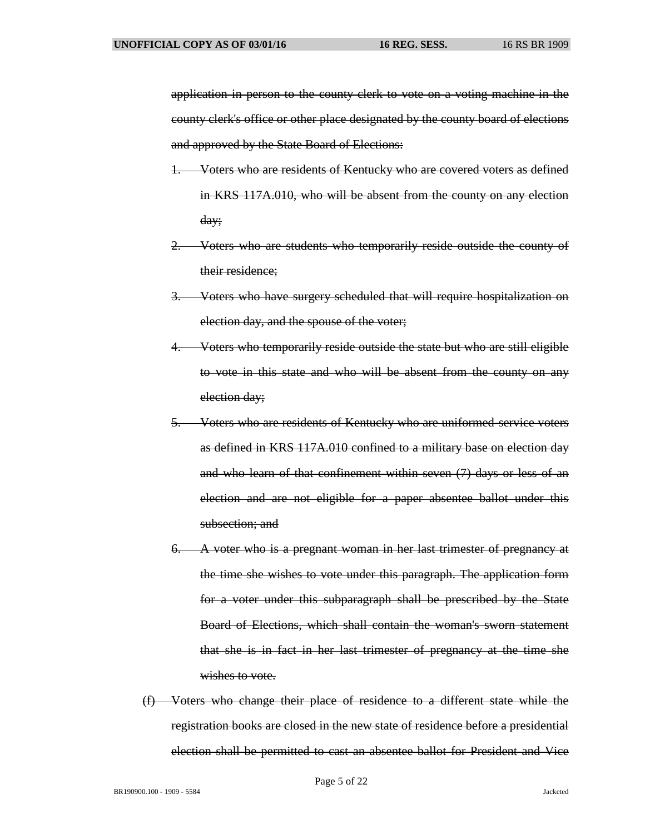application in person to the county clerk to vote on a voting machine in the county clerk's office or other place designated by the county board of elections and approved by the State Board of Elections:

- 1. Voters who are residents of Kentucky who are covered voters as defined in KRS 117A.010, who will be absent from the county on any election day;
- 2. Voters who are students who temporarily reside outside the county of their residence;
- 3. Voters who have surgery scheduled that will require hospitalization on election day, and the spouse of the voter;
- 4. Voters who temporarily reside outside the state but who are still eligible to vote in this state and who will be absent from the county on any election day;
- 5. Voters who are residents of Kentucky who are uniformed-service voters as defined in KRS 117A.010 confined to a military base on election day and who learn of that confinement within seven (7) days or less of an election and are not eligible for a paper absentee ballot under this subsection: and
- 6. A voter who is a pregnant woman in her last trimester of pregnancy at the time she wishes to vote under this paragraph. The application form for a voter under this subparagraph shall be prescribed by the State Board of Elections, which shall contain the woman's sworn statement that she is in fact in her last trimester of pregnancy at the time she wishes to vote.
- (f) Voters who change their place of residence to a different state while the registration books are closed in the new state of residence before a presidential election shall be permitted to cast an absentee ballot for President and Vice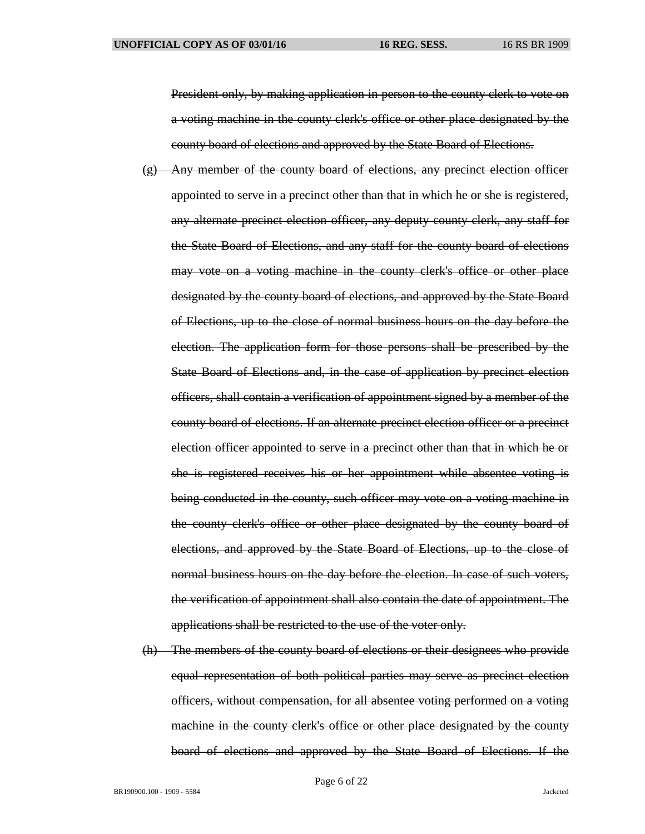President only, by making application in person to the county clerk to vote on a voting machine in the county clerk's office or other place designated by the county board of elections and approved by the State Board of Elections.

- (g) Any member of the county board of elections, any precinct election officer appointed to serve in a precinct other than that in which he or she is registered, any alternate precinct election officer, any deputy county clerk, any staff for the State Board of Elections, and any staff for the county board of elections may vote on a voting machine in the county clerk's office or other place designated by the county board of elections, and approved by the State Board of Elections, up to the close of normal business hours on the day before the election. The application form for those persons shall be prescribed by the State Board of Elections and, in the case of application by precinct election officers, shall contain a verification of appointment signed by a member of the county board of elections. If an alternate precinct election officer or a precinct election officer appointed to serve in a precinct other than that in which he or she is registered receives his or her appointment while absentee voting is being conducted in the county, such officer may vote on a voting machine in the county clerk's office or other place designated by the county board of elections, and approved by the State Board of Elections, up to the close of normal business hours on the day before the election. In case of such voters, the verification of appointment shall also contain the date of appointment. The applications shall be restricted to the use of the voter only.
- (h) The members of the county board of elections or their designees who provide equal representation of both political parties may serve as precinct election officers, without compensation, for all absentee voting performed on a voting machine in the county clerk's office or other place designated by the county board of elections and approved by the State Board of Elections. If the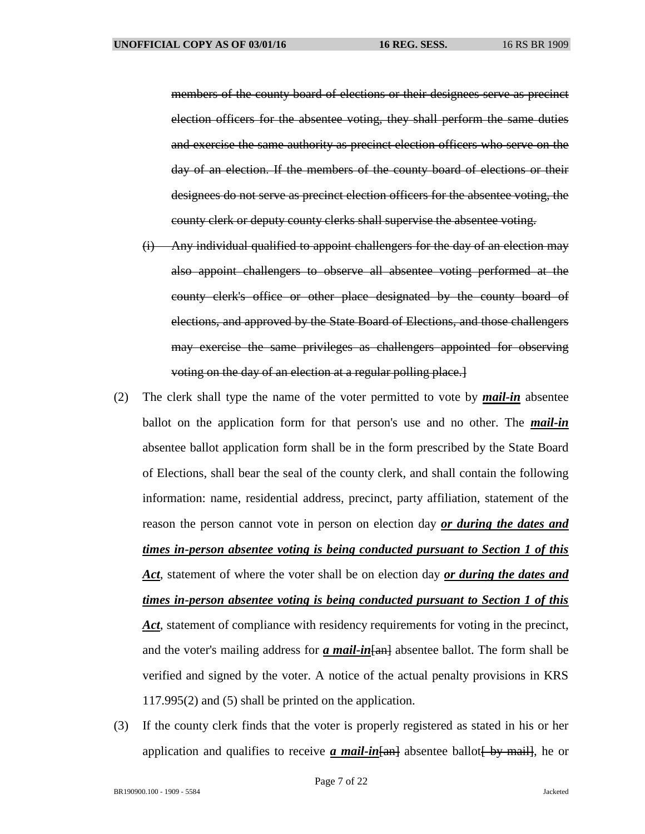members of the county board of elections or their designees serve as precinct election officers for the absentee voting, they shall perform the same duties and exercise the same authority as precinct election officers who serve on the day of an election. If the members of the county board of elections or their designees do not serve as precinct election officers for the absentee voting, the county clerk or deputy county clerks shall supervise the absentee voting.

- (i) Any individual qualified to appoint challengers for the day of an election may also appoint challengers to observe all absentee voting performed at the county clerk's office or other place designated by the county board of elections, and approved by the State Board of Elections, and those challengers may exercise the same privileges as challengers appointed for observing voting on the day of an election at a regular polling place.]
- (2) The clerk shall type the name of the voter permitted to vote by *mail-in* absentee ballot on the application form for that person's use and no other. The *mail-in* absentee ballot application form shall be in the form prescribed by the State Board of Elections, shall bear the seal of the county clerk, and shall contain the following information: name, residential address, precinct, party affiliation, statement of the reason the person cannot vote in person on election day *or during the dates and times in-person absentee voting is being conducted pursuant to Section 1 of this Act*, statement of where the voter shall be on election day *or during the dates and times in-person absentee voting is being conducted pursuant to Section 1 of this*  Act, statement of compliance with residency requirements for voting in the precinct, and the voter's mailing address for *a mail-in*  $\frac{1}{2}$  absentee ballot. The form shall be verified and signed by the voter. A notice of the actual penalty provisions in KRS 117.995(2) and (5) shall be printed on the application.
- (3) If the county clerk finds that the voter is properly registered as stated in his or her application and qualifies to receive *a mail-in* $\frac{1}{2}$  absentee ballot by mail, he or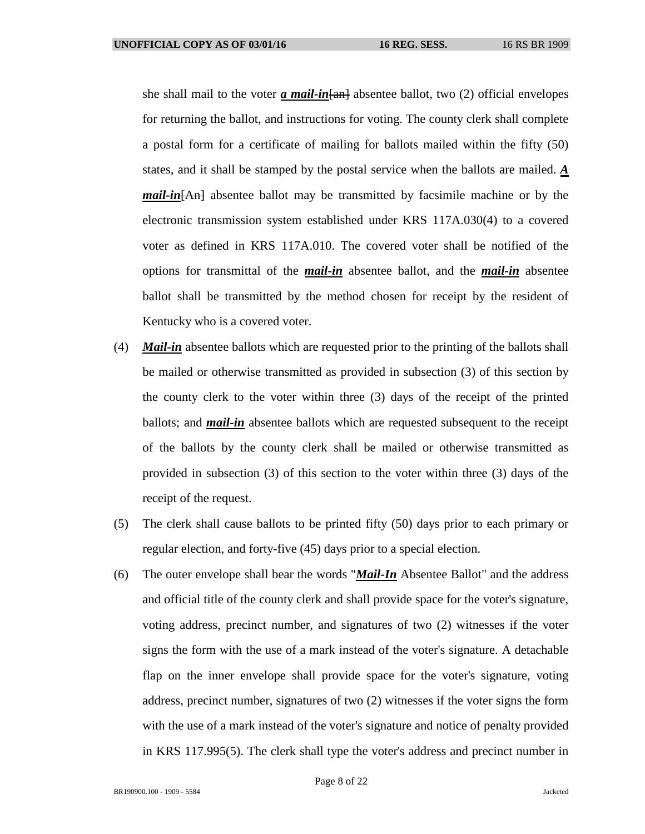she shall mail to the voter *a mail-in* [and absentee ballot, two (2) official envelopes for returning the ballot, and instructions for voting. The county clerk shall complete a postal form for a certificate of mailing for ballots mailed within the fifty (50) states, and it shall be stamped by the postal service when the ballots are mailed. *A mail-in*[An] absentee ballot may be transmitted by facsimile machine or by the electronic transmission system established under KRS 117A.030(4) to a covered voter as defined in KRS 117A.010. The covered voter shall be notified of the options for transmittal of the *mail-in* absentee ballot, and the *mail-in* absentee ballot shall be transmitted by the method chosen for receipt by the resident of Kentucky who is a covered voter.

- (4) *Mail-in* absentee ballots which are requested prior to the printing of the ballots shall be mailed or otherwise transmitted as provided in subsection (3) of this section by the county clerk to the voter within three (3) days of the receipt of the printed ballots; and *mail-in* absentee ballots which are requested subsequent to the receipt of the ballots by the county clerk shall be mailed or otherwise transmitted as provided in subsection (3) of this section to the voter within three (3) days of the receipt of the request.
- (5) The clerk shall cause ballots to be printed fifty (50) days prior to each primary or regular election, and forty-five (45) days prior to a special election.
- (6) The outer envelope shall bear the words "*Mail-In* Absentee Ballot" and the address and official title of the county clerk and shall provide space for the voter's signature, voting address, precinct number, and signatures of two (2) witnesses if the voter signs the form with the use of a mark instead of the voter's signature. A detachable flap on the inner envelope shall provide space for the voter's signature, voting address, precinct number, signatures of two (2) witnesses if the voter signs the form with the use of a mark instead of the voter's signature and notice of penalty provided in KRS 117.995(5). The clerk shall type the voter's address and precinct number in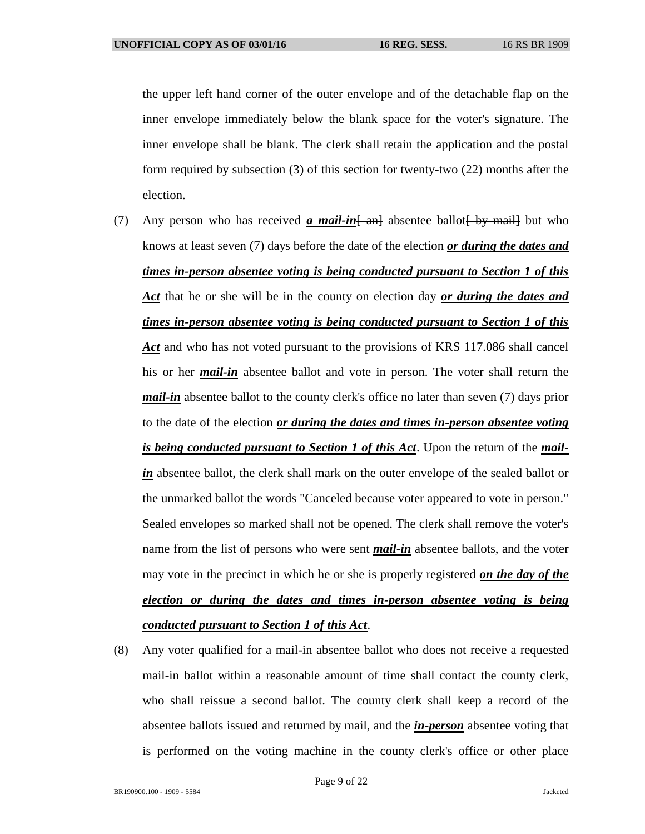the upper left hand corner of the outer envelope and of the detachable flap on the inner envelope immediately below the blank space for the voter's signature. The inner envelope shall be blank. The clerk shall retain the application and the postal form required by subsection (3) of this section for twenty-two (22) months after the election.

- (7) Any person who has received  $\alpha$  mail-in  $\frac{1}{\alpha}$  absentee ballot  $\frac{1}{\alpha}$  by mail but who knows at least seven (7) days before the date of the election *or during the dates and times in-person absentee voting is being conducted pursuant to Section 1 of this Act* that he or she will be in the county on election day *or during the dates and times in-person absentee voting is being conducted pursuant to Section 1 of this Act* and who has not voted pursuant to the provisions of KRS 117.086 shall cancel his or her *mail-in* absentee ballot and vote in person. The voter shall return the *mail-in* absentee ballot to the county clerk's office no later than seven (7) days prior to the date of the election *or during the dates and times in-person absentee voting is being conducted pursuant to Section 1 of this Act*. Upon the return of the *mailin* absentee ballot, the clerk shall mark on the outer envelope of the sealed ballot or the unmarked ballot the words "Canceled because voter appeared to vote in person." Sealed envelopes so marked shall not be opened. The clerk shall remove the voter's name from the list of persons who were sent *mail-in* absentee ballots, and the voter may vote in the precinct in which he or she is properly registered *on the day of the election or during the dates and times in-person absentee voting is being conducted pursuant to Section 1 of this Act*.
- (8) Any voter qualified for a mail-in absentee ballot who does not receive a requested mail-in ballot within a reasonable amount of time shall contact the county clerk, who shall reissue a second ballot. The county clerk shall keep a record of the absentee ballots issued and returned by mail, and the *in-person* absentee voting that is performed on the voting machine in the county clerk's office or other place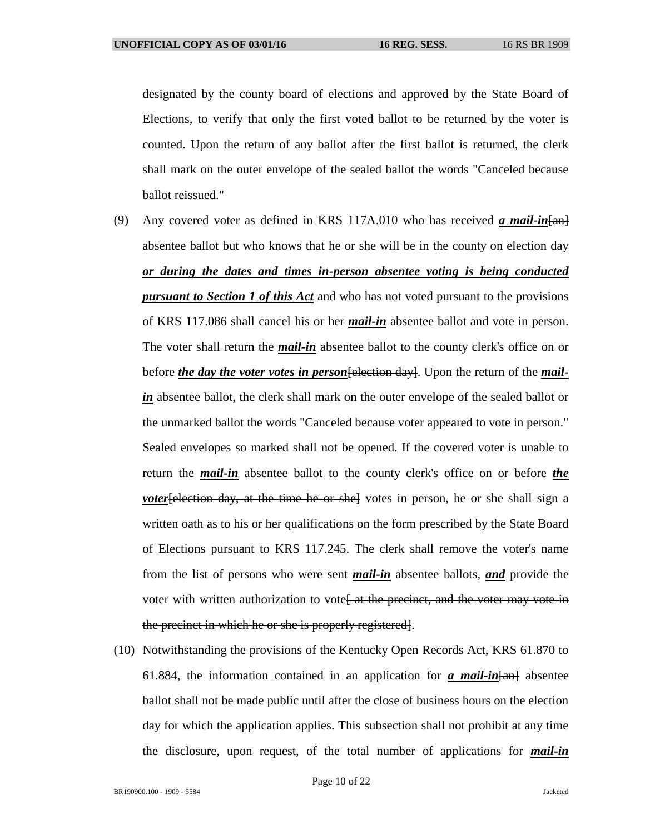designated by the county board of elections and approved by the State Board of Elections, to verify that only the first voted ballot to be returned by the voter is counted. Upon the return of any ballot after the first ballot is returned, the clerk shall mark on the outer envelope of the sealed ballot the words "Canceled because ballot reissued."

- (9) Any covered voter as defined in KRS 117A.010 who has received *a mail-in*[an] absentee ballot but who knows that he or she will be in the county on election day *or during the dates and times in-person absentee voting is being conducted pursuant to Section 1 of this Act* and who has not voted pursuant to the provisions of KRS 117.086 shall cancel his or her *mail-in* absentee ballot and vote in person. The voter shall return the *mail-in* absentee ballot to the county clerk's office on or before *the day the voter votes in person* [election day]. Upon the return of the *mailin* absentee ballot, the clerk shall mark on the outer envelope of the sealed ballot or the unmarked ballot the words "Canceled because voter appeared to vote in person." Sealed envelopes so marked shall not be opened. If the covered voter is unable to return the *mail-in* absentee ballot to the county clerk's office on or before *the voter*[election day, at the time he or she] votes in person, he or she shall sign a written oath as to his or her qualifications on the form prescribed by the State Board of Elections pursuant to KRS 117.245. The clerk shall remove the voter's name from the list of persons who were sent *mail-in* absentee ballots, *and* provide the voter with written authorization to vote<del>[ at the precinct, and the voter may vote in</del> the precinct in which he or she is properly registered].
- (10) Notwithstanding the provisions of the Kentucky Open Records Act, KRS 61.870 to 61.884, the information contained in an application for  $\alpha$  mail-in  $\{\text{an}\}$  absentee ballot shall not be made public until after the close of business hours on the election day for which the application applies. This subsection shall not prohibit at any time the disclosure, upon request, of the total number of applications for *mail-in*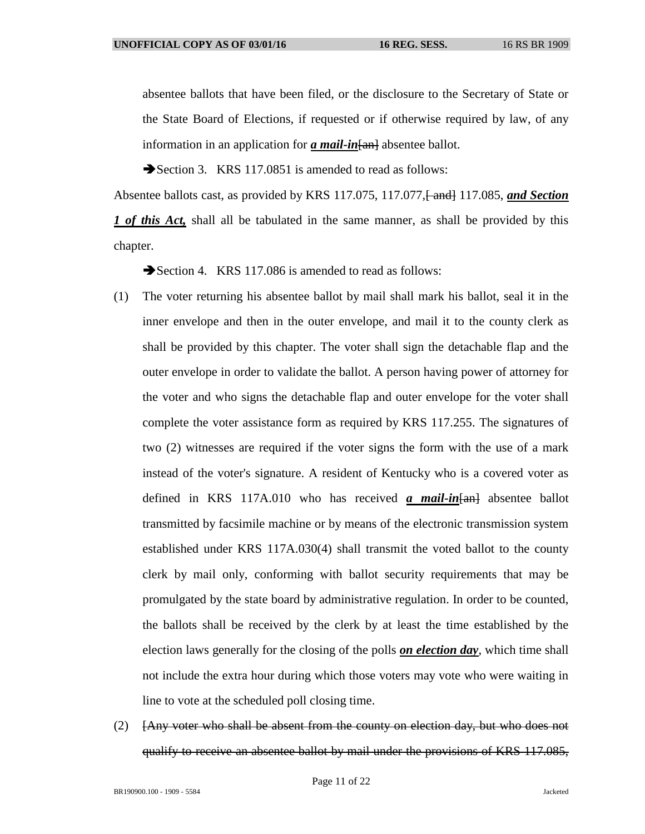absentee ballots that have been filed, or the disclosure to the Secretary of State or the State Board of Elections, if requested or if otherwise required by law, of any information in an application for *a mail-in* [an] absentee ballot.

Section 3. KRS 117.0851 is amended to read as follows:

Absentee ballots cast, as provided by KRS 117.075, 117.077, and 117.085, *and Section 1 of this Act*, shall all be tabulated in the same manner, as shall be provided by this chapter.

Section 4. KRS 117.086 is amended to read as follows:

- (1) The voter returning his absentee ballot by mail shall mark his ballot, seal it in the inner envelope and then in the outer envelope, and mail it to the county clerk as shall be provided by this chapter. The voter shall sign the detachable flap and the outer envelope in order to validate the ballot. A person having power of attorney for the voter and who signs the detachable flap and outer envelope for the voter shall complete the voter assistance form as required by KRS 117.255. The signatures of two (2) witnesses are required if the voter signs the form with the use of a mark instead of the voter's signature. A resident of Kentucky who is a covered voter as defined in KRS 117A.010 who has received *a mail-in*[an] absentee ballot transmitted by facsimile machine or by means of the electronic transmission system established under KRS 117A.030(4) shall transmit the voted ballot to the county clerk by mail only, conforming with ballot security requirements that may be promulgated by the state board by administrative regulation. In order to be counted, the ballots shall be received by the clerk by at least the time established by the election laws generally for the closing of the polls *on election day*, which time shall not include the extra hour during which those voters may vote who were waiting in line to vote at the scheduled poll closing time.
- (2) [Any voter who shall be absent from the county on election day, but who does not qualify to receive an absentee ballot by mail under the provisions of KRS 117.085,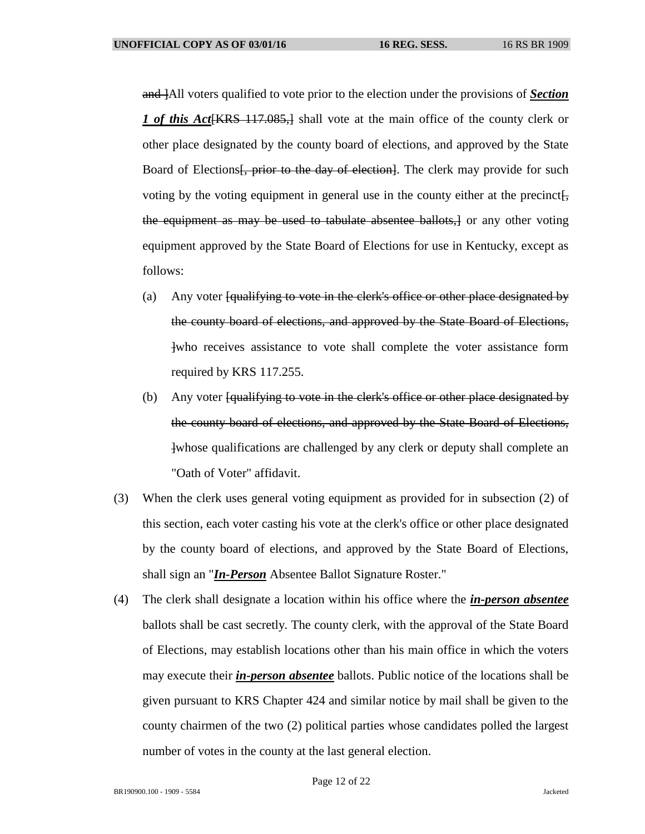and [All voters qualified to vote prior to the election under the provisions of **Section** *1 of this Act*[KRS 117.085,] shall vote at the main office of the county clerk or other place designated by the county board of elections, and approved by the State Board of Elections<del>, prior to the day of election</del>. The clerk may provide for such voting by the voting equipment in general use in the county either at the precinct. the equipment as may be used to tabulate absentee ballots,] or any other voting equipment approved by the State Board of Elections for use in Kentucky, except as follows:

- (a) Any voter [qualifying to vote in the clerk's office or other place designated by the county board of elections, and approved by the State Board of Elections, ]who receives assistance to vote shall complete the voter assistance form required by KRS 117.255.
- (b) Any voter [qualifying to vote in the clerk's office or other place designated by the county board of elections, and approved by the State Board of Elections, ]whose qualifications are challenged by any clerk or deputy shall complete an "Oath of Voter" affidavit.
- (3) When the clerk uses general voting equipment as provided for in subsection (2) of this section, each voter casting his vote at the clerk's office or other place designated by the county board of elections, and approved by the State Board of Elections, shall sign an "*In-Person* Absentee Ballot Signature Roster."
- (4) The clerk shall designate a location within his office where the *in-person absentee* ballots shall be cast secretly. The county clerk, with the approval of the State Board of Elections, may establish locations other than his main office in which the voters may execute their *in-person absentee* ballots. Public notice of the locations shall be given pursuant to KRS Chapter 424 and similar notice by mail shall be given to the county chairmen of the two (2) political parties whose candidates polled the largest number of votes in the county at the last general election.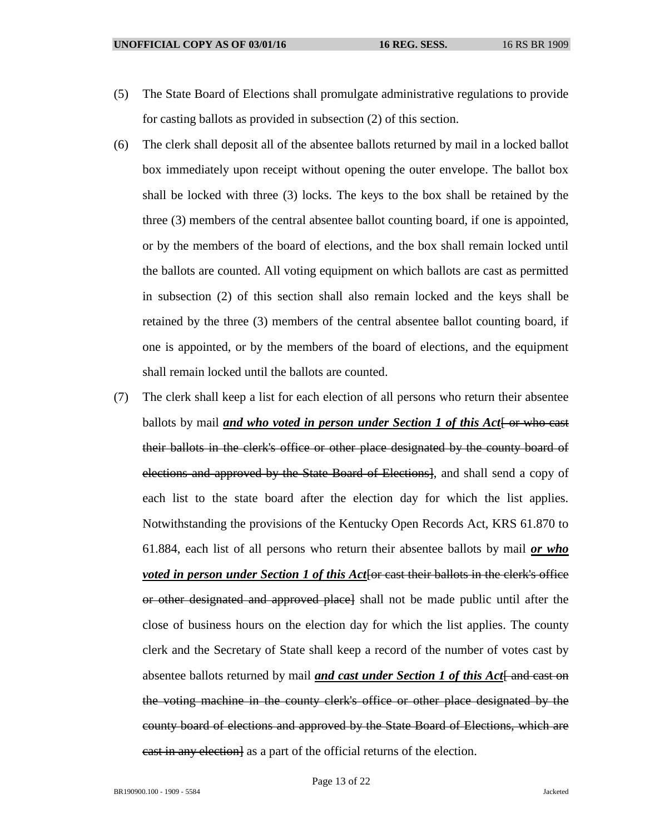- (5) The State Board of Elections shall promulgate administrative regulations to provide for casting ballots as provided in subsection (2) of this section.
- (6) The clerk shall deposit all of the absentee ballots returned by mail in a locked ballot box immediately upon receipt without opening the outer envelope. The ballot box shall be locked with three (3) locks. The keys to the box shall be retained by the three (3) members of the central absentee ballot counting board, if one is appointed, or by the members of the board of elections, and the box shall remain locked until the ballots are counted. All voting equipment on which ballots are cast as permitted in subsection (2) of this section shall also remain locked and the keys shall be retained by the three (3) members of the central absentee ballot counting board, if one is appointed, or by the members of the board of elections, and the equipment shall remain locked until the ballots are counted.
- (7) The clerk shall keep a list for each election of all persons who return their absentee ballots by mail *and who voted in person under Section 1 of this Act* [ or who cast their ballots in the clerk's office or other place designated by the county board of elections and approved by the State Board of Elections], and shall send a copy of each list to the state board after the election day for which the list applies. Notwithstanding the provisions of the Kentucky Open Records Act, KRS 61.870 to 61.884, each list of all persons who return their absentee ballots by mail *or who voted in person under Section 1 of this Act* [or cast their ballots in the clerk's office or other designated and approved place] shall not be made public until after the close of business hours on the election day for which the list applies. The county clerk and the Secretary of State shall keep a record of the number of votes cast by absentee ballots returned by mail *and cast under Section 1 of this Act*[ and cast on the voting machine in the county clerk's office or other place designated by the county board of elections and approved by the State Board of Elections, which are east in any election as a part of the official returns of the election.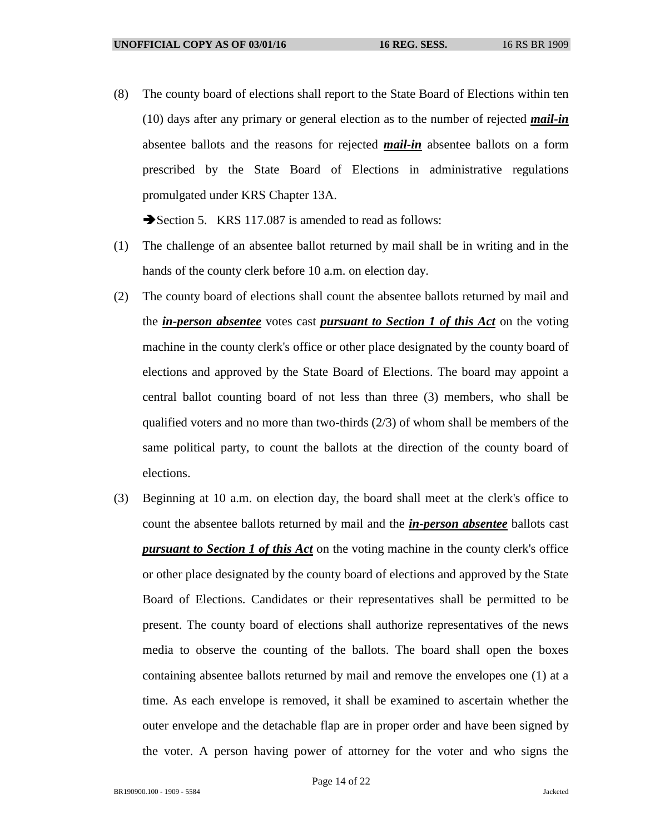(8) The county board of elections shall report to the State Board of Elections within ten (10) days after any primary or general election as to the number of rejected *mail-in* absentee ballots and the reasons for rejected *mail-in* absentee ballots on a form prescribed by the State Board of Elections in administrative regulations promulgated under KRS Chapter 13A.

Section 5. KRS 117.087 is amended to read as follows:

- (1) The challenge of an absentee ballot returned by mail shall be in writing and in the hands of the county clerk before 10 a.m. on election day.
- (2) The county board of elections shall count the absentee ballots returned by mail and the *in-person absentee* votes cast *pursuant to Section 1 of this Act* on the voting machine in the county clerk's office or other place designated by the county board of elections and approved by the State Board of Elections. The board may appoint a central ballot counting board of not less than three (3) members, who shall be qualified voters and no more than two-thirds (2/3) of whom shall be members of the same political party, to count the ballots at the direction of the county board of elections.
- (3) Beginning at 10 a.m. on election day, the board shall meet at the clerk's office to count the absentee ballots returned by mail and the *in-person absentee* ballots cast *pursuant to Section 1 of this Act* on the voting machine in the county clerk's office or other place designated by the county board of elections and approved by the State Board of Elections. Candidates or their representatives shall be permitted to be present. The county board of elections shall authorize representatives of the news media to observe the counting of the ballots. The board shall open the boxes containing absentee ballots returned by mail and remove the envelopes one (1) at a time. As each envelope is removed, it shall be examined to ascertain whether the outer envelope and the detachable flap are in proper order and have been signed by the voter. A person having power of attorney for the voter and who signs the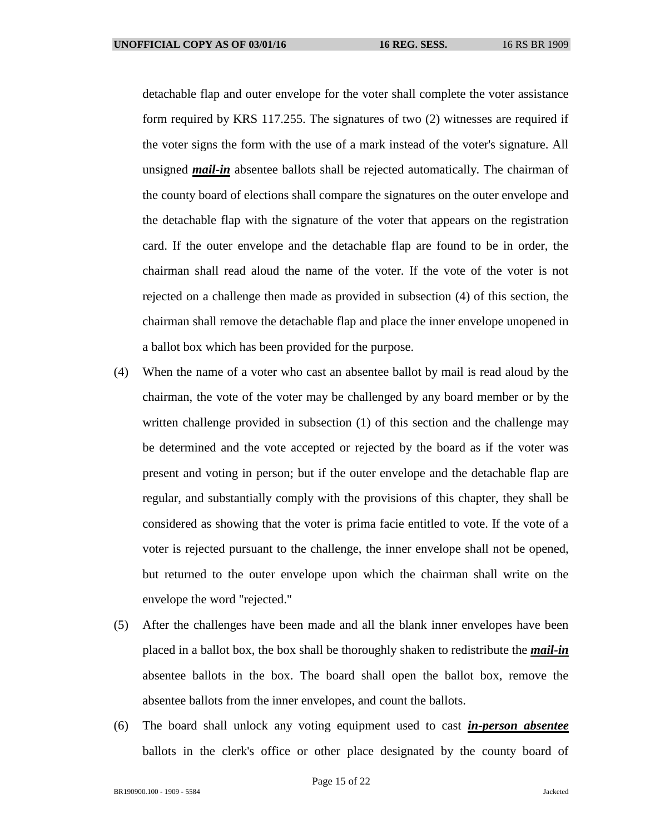detachable flap and outer envelope for the voter shall complete the voter assistance form required by KRS 117.255. The signatures of two (2) witnesses are required if the voter signs the form with the use of a mark instead of the voter's signature. All unsigned *mail-in* absentee ballots shall be rejected automatically. The chairman of the county board of elections shall compare the signatures on the outer envelope and the detachable flap with the signature of the voter that appears on the registration card. If the outer envelope and the detachable flap are found to be in order, the chairman shall read aloud the name of the voter. If the vote of the voter is not rejected on a challenge then made as provided in subsection (4) of this section, the chairman shall remove the detachable flap and place the inner envelope unopened in a ballot box which has been provided for the purpose.

- (4) When the name of a voter who cast an absentee ballot by mail is read aloud by the chairman, the vote of the voter may be challenged by any board member or by the written challenge provided in subsection (1) of this section and the challenge may be determined and the vote accepted or rejected by the board as if the voter was present and voting in person; but if the outer envelope and the detachable flap are regular, and substantially comply with the provisions of this chapter, they shall be considered as showing that the voter is prima facie entitled to vote. If the vote of a voter is rejected pursuant to the challenge, the inner envelope shall not be opened, but returned to the outer envelope upon which the chairman shall write on the envelope the word "rejected."
- (5) After the challenges have been made and all the blank inner envelopes have been placed in a ballot box, the box shall be thoroughly shaken to redistribute the *mail-in* absentee ballots in the box. The board shall open the ballot box, remove the absentee ballots from the inner envelopes, and count the ballots.
- (6) The board shall unlock any voting equipment used to cast *in-person absentee* ballots in the clerk's office or other place designated by the county board of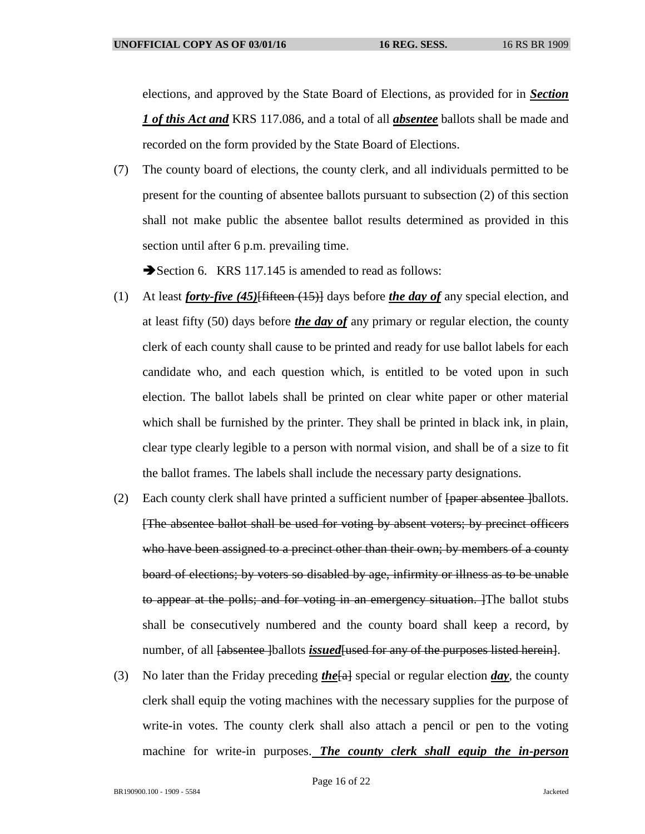elections, and approved by the State Board of Elections, as provided for in *Section 1 of this Act and* KRS 117.086, and a total of all *absentee* ballots shall be made and recorded on the form provided by the State Board of Elections.

(7) The county board of elections, the county clerk, and all individuals permitted to be present for the counting of absentee ballots pursuant to subsection (2) of this section shall not make public the absentee ballot results determined as provided in this section until after 6 p.m. prevailing time.

Section 6. KRS 117.145 is amended to read as follows:

- (1) At least *forty-five (45)*[fifteen (15)] days before *the day of* any special election, and at least fifty (50) days before *the day of* any primary or regular election, the county clerk of each county shall cause to be printed and ready for use ballot labels for each candidate who, and each question which, is entitled to be voted upon in such election. The ballot labels shall be printed on clear white paper or other material which shall be furnished by the printer. They shall be printed in black ink, in plain, clear type clearly legible to a person with normal vision, and shall be of a size to fit the ballot frames. The labels shall include the necessary party designations.
- (2) Each county clerk shall have printed a sufficient number of  $\frac{1}{2}$  [paper absentee ]ballots. [The absentee ballot shall be used for voting by absent voters; by precinct officers who have been assigned to a precinct other than their own; by members of a county board of elections; by voters so disabled by age, infirmity or illness as to be unable to appear at the polls; and for voting in an emergency situation. The ballot stubs shall be consecutively numbered and the county board shall keep a record, by number, of all <del>[absentee ]</del>ballots *issued* [used for any of the purposes listed herein].
- (3) No later than the Friday preceding *the*[a] special or regular election *day*, the county clerk shall equip the voting machines with the necessary supplies for the purpose of write-in votes. The county clerk shall also attach a pencil or pen to the voting machine for write-in purposes. *The county clerk shall equip the in-person*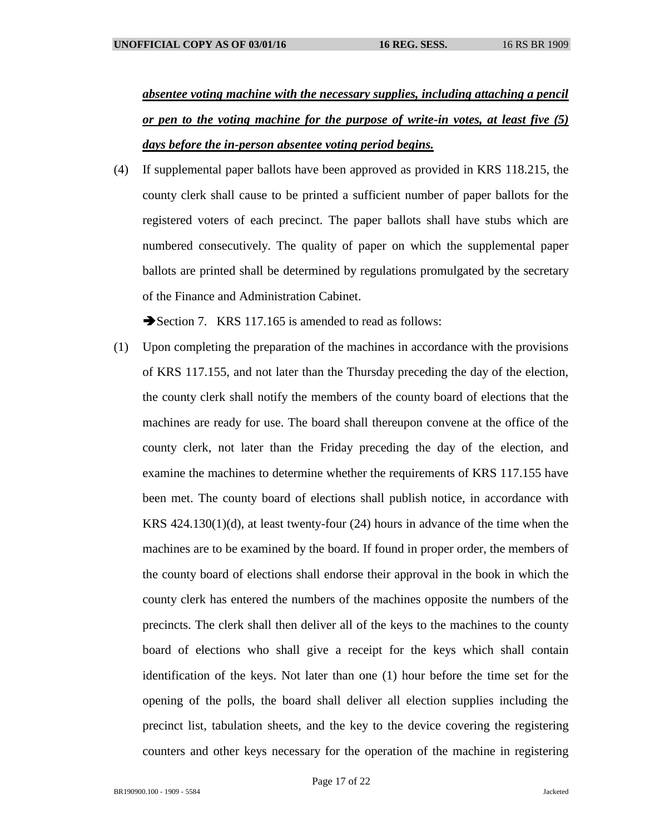*absentee voting machine with the necessary supplies, including attaching a pencil or pen to the voting machine for the purpose of write-in votes, at least five (5) days before the in-person absentee voting period begins.*

(4) If supplemental paper ballots have been approved as provided in KRS 118.215, the county clerk shall cause to be printed a sufficient number of paper ballots for the registered voters of each precinct. The paper ballots shall have stubs which are numbered consecutively. The quality of paper on which the supplemental paper ballots are printed shall be determined by regulations promulgated by the secretary of the Finance and Administration Cabinet.

Section 7. KRS 117.165 is amended to read as follows:

(1) Upon completing the preparation of the machines in accordance with the provisions of KRS 117.155, and not later than the Thursday preceding the day of the election, the county clerk shall notify the members of the county board of elections that the machines are ready for use. The board shall thereupon convene at the office of the county clerk, not later than the Friday preceding the day of the election, and examine the machines to determine whether the requirements of KRS 117.155 have been met. The county board of elections shall publish notice, in accordance with KRS 424.130(1)(d), at least twenty-four (24) hours in advance of the time when the machines are to be examined by the board. If found in proper order, the members of the county board of elections shall endorse their approval in the book in which the county clerk has entered the numbers of the machines opposite the numbers of the precincts. The clerk shall then deliver all of the keys to the machines to the county board of elections who shall give a receipt for the keys which shall contain identification of the keys. Not later than one (1) hour before the time set for the opening of the polls, the board shall deliver all election supplies including the precinct list, tabulation sheets, and the key to the device covering the registering counters and other keys necessary for the operation of the machine in registering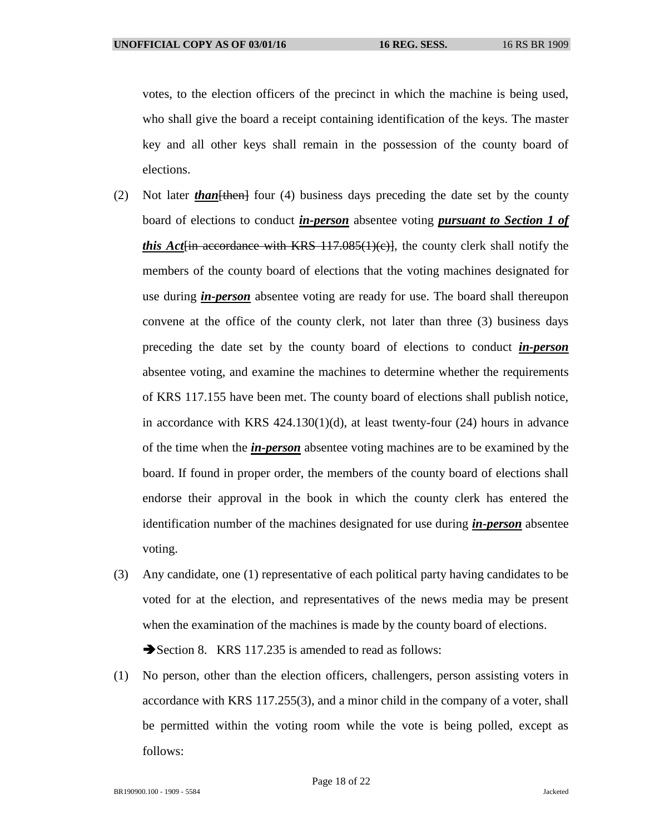votes, to the election officers of the precinct in which the machine is being used, who shall give the board a receipt containing identification of the keys. The master key and all other keys shall remain in the possession of the county board of elections.

- (2) Not later *than*[then] four (4) business days preceding the date set by the county board of elections to conduct *in-person* absentee voting *pursuant to Section 1 of this Act* $\{$ in accordance with KRS 117.085 $(1)(c)$ , the county clerk shall notify the members of the county board of elections that the voting machines designated for use during *in-person* absentee voting are ready for use. The board shall thereupon convene at the office of the county clerk, not later than three (3) business days preceding the date set by the county board of elections to conduct *in-person* absentee voting, and examine the machines to determine whether the requirements of KRS 117.155 have been met. The county board of elections shall publish notice, in accordance with KRS 424.130(1)(d), at least twenty-four (24) hours in advance of the time when the *in-person* absentee voting machines are to be examined by the board. If found in proper order, the members of the county board of elections shall endorse their approval in the book in which the county clerk has entered the identification number of the machines designated for use during *in-person* absentee voting.
- (3) Any candidate, one (1) representative of each political party having candidates to be voted for at the election, and representatives of the news media may be present when the examination of the machines is made by the county board of elections. Section 8. KRS 117.235 is amended to read as follows:
- (1) No person, other than the election officers, challengers, person assisting voters in accordance with KRS 117.255(3), and a minor child in the company of a voter, shall be permitted within the voting room while the vote is being polled, except as follows: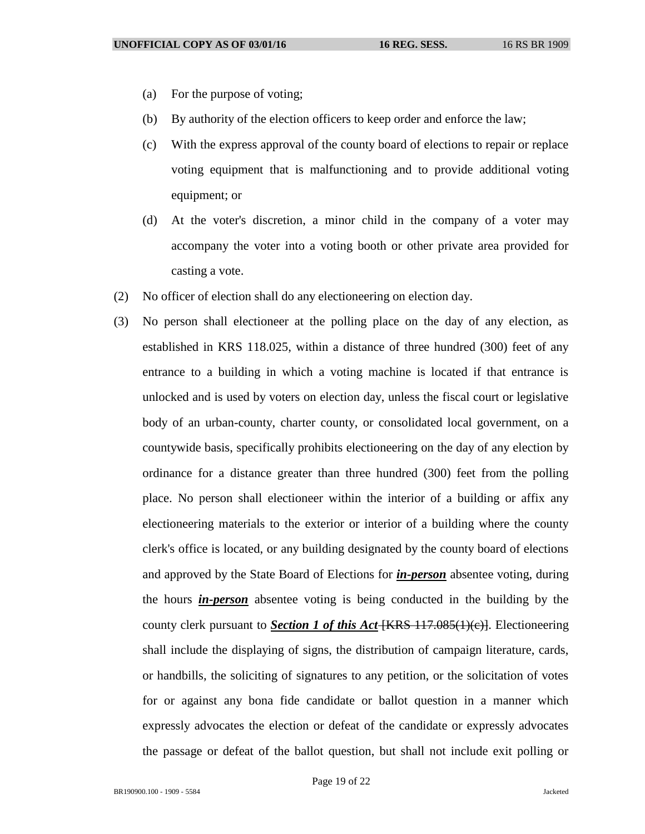- (a) For the purpose of voting;
- (b) By authority of the election officers to keep order and enforce the law;
- (c) With the express approval of the county board of elections to repair or replace voting equipment that is malfunctioning and to provide additional voting equipment; or
- (d) At the voter's discretion, a minor child in the company of a voter may accompany the voter into a voting booth or other private area provided for casting a vote.
- (2) No officer of election shall do any electioneering on election day.
- (3) No person shall electioneer at the polling place on the day of any election, as established in KRS 118.025, within a distance of three hundred (300) feet of any entrance to a building in which a voting machine is located if that entrance is unlocked and is used by voters on election day, unless the fiscal court or legislative body of an urban-county, charter county, or consolidated local government, on a countywide basis, specifically prohibits electioneering on the day of any election by ordinance for a distance greater than three hundred (300) feet from the polling place. No person shall electioneer within the interior of a building or affix any electioneering materials to the exterior or interior of a building where the county clerk's office is located, or any building designated by the county board of elections and approved by the State Board of Elections for *in-person* absentee voting, during the hours *in-person* absentee voting is being conducted in the building by the county clerk pursuant to *Section 1 of this Act* [KRS 117.085(1)(c)]. Electioneering shall include the displaying of signs, the distribution of campaign literature, cards, or handbills, the soliciting of signatures to any petition, or the solicitation of votes for or against any bona fide candidate or ballot question in a manner which expressly advocates the election or defeat of the candidate or expressly advocates the passage or defeat of the ballot question, but shall not include exit polling or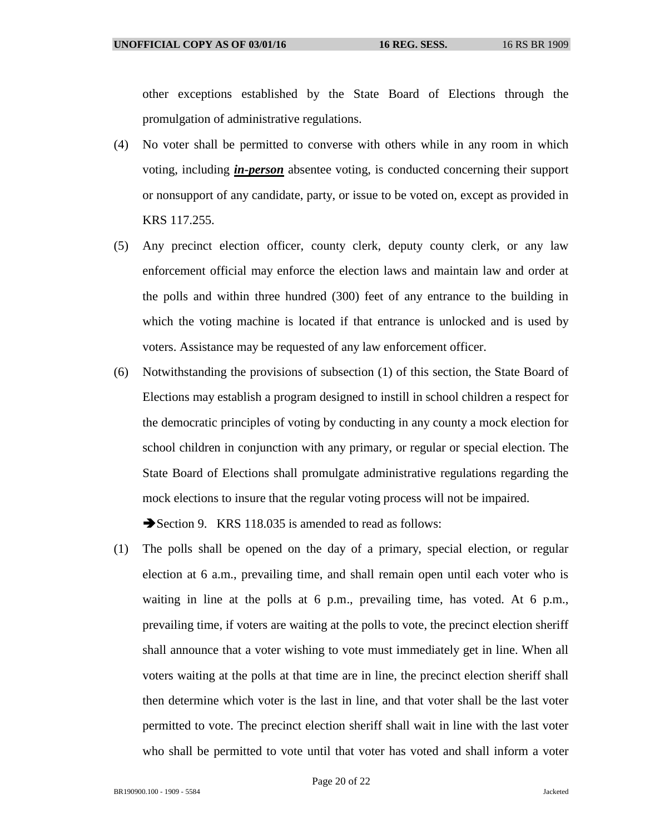other exceptions established by the State Board of Elections through the promulgation of administrative regulations.

- (4) No voter shall be permitted to converse with others while in any room in which voting, including *in-person* absentee voting, is conducted concerning their support or nonsupport of any candidate, party, or issue to be voted on, except as provided in KRS 117.255.
- (5) Any precinct election officer, county clerk, deputy county clerk, or any law enforcement official may enforce the election laws and maintain law and order at the polls and within three hundred (300) feet of any entrance to the building in which the voting machine is located if that entrance is unlocked and is used by voters. Assistance may be requested of any law enforcement officer.
- (6) Notwithstanding the provisions of subsection (1) of this section, the State Board of Elections may establish a program designed to instill in school children a respect for the democratic principles of voting by conducting in any county a mock election for school children in conjunction with any primary, or regular or special election. The State Board of Elections shall promulgate administrative regulations regarding the mock elections to insure that the regular voting process will not be impaired.

Section 9. KRS 118.035 is amended to read as follows:

(1) The polls shall be opened on the day of a primary, special election, or regular election at 6 a.m., prevailing time, and shall remain open until each voter who is waiting in line at the polls at 6 p.m., prevailing time, has voted. At 6 p.m., prevailing time, if voters are waiting at the polls to vote, the precinct election sheriff shall announce that a voter wishing to vote must immediately get in line. When all voters waiting at the polls at that time are in line, the precinct election sheriff shall then determine which voter is the last in line, and that voter shall be the last voter permitted to vote. The precinct election sheriff shall wait in line with the last voter who shall be permitted to vote until that voter has voted and shall inform a voter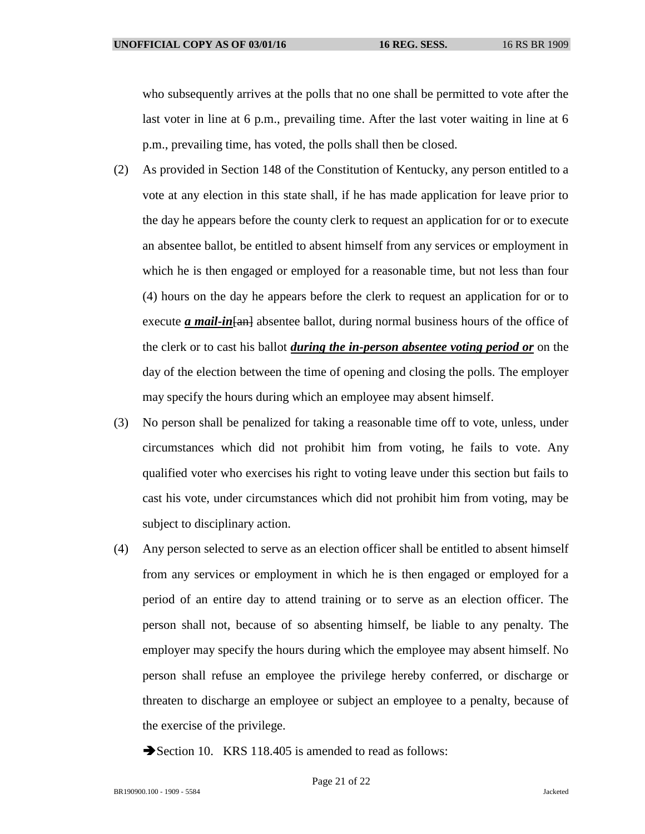who subsequently arrives at the polls that no one shall be permitted to vote after the last voter in line at 6 p.m., prevailing time. After the last voter waiting in line at 6 p.m., prevailing time, has voted, the polls shall then be closed.

- (2) As provided in Section 148 of the Constitution of Kentucky, any person entitled to a vote at any election in this state shall, if he has made application for leave prior to the day he appears before the county clerk to request an application for or to execute an absentee ballot, be entitled to absent himself from any services or employment in which he is then engaged or employed for a reasonable time, but not less than four (4) hours on the day he appears before the clerk to request an application for or to execute *a mail-in* [and absentee ballot, during normal business hours of the office of the clerk or to cast his ballot *during the in-person absentee voting period or* on the day of the election between the time of opening and closing the polls. The employer may specify the hours during which an employee may absent himself.
- (3) No person shall be penalized for taking a reasonable time off to vote, unless, under circumstances which did not prohibit him from voting, he fails to vote. Any qualified voter who exercises his right to voting leave under this section but fails to cast his vote, under circumstances which did not prohibit him from voting, may be subject to disciplinary action.
- (4) Any person selected to serve as an election officer shall be entitled to absent himself from any services or employment in which he is then engaged or employed for a period of an entire day to attend training or to serve as an election officer. The person shall not, because of so absenting himself, be liable to any penalty. The employer may specify the hours during which the employee may absent himself. No person shall refuse an employee the privilege hereby conferred, or discharge or threaten to discharge an employee or subject an employee to a penalty, because of the exercise of the privilege.
	- Section 10. KRS 118.405 is amended to read as follows: